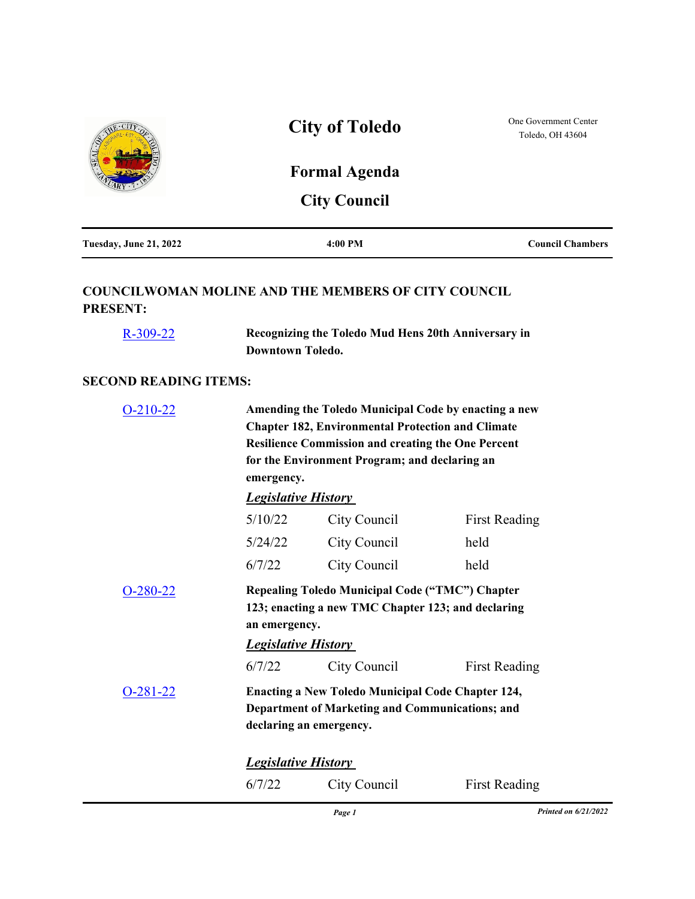|                                                                               | <b>City of Toledo</b>                                                          | One Government Center<br>Toledo, OH 43604                                                                             |                         |  |
|-------------------------------------------------------------------------------|--------------------------------------------------------------------------------|-----------------------------------------------------------------------------------------------------------------------|-------------------------|--|
|                                                                               |                                                                                | <b>Formal Agenda</b>                                                                                                  |                         |  |
|                                                                               |                                                                                | <b>City Council</b>                                                                                                   |                         |  |
| Tuesday, June 21, 2022                                                        |                                                                                | 4:00 PM                                                                                                               | <b>Council Chambers</b> |  |
| <b>COUNCILWOMAN MOLINE AND THE MEMBERS OF CITY COUNCIL</b><br><b>PRESENT:</b> |                                                                                |                                                                                                                       |                         |  |
| $R - 309 - 22$                                                                | Recognizing the Toledo Mud Hens 20th Anniversary in<br><b>Downtown Toledo.</b> |                                                                                                                       |                         |  |
| <b>SECOND READING ITEMS:</b>                                                  |                                                                                |                                                                                                                       |                         |  |
| $O-210-22$                                                                    |                                                                                | Amending the Toledo Municipal Code by enacting a new                                                                  |                         |  |
|                                                                               |                                                                                | <b>Chapter 182, Environmental Protection and Climate</b><br><b>Resilience Commission and creating the One Percent</b> |                         |  |
|                                                                               | for the Environment Program; and declaring an<br>emergency.                    |                                                                                                                       |                         |  |
|                                                                               | <b>Legislative History</b>                                                     |                                                                                                                       |                         |  |
|                                                                               | 5/10/22                                                                        | City Council                                                                                                          | <b>First Reading</b>    |  |
|                                                                               | 5/24/22                                                                        | City Council                                                                                                          | held                    |  |
|                                                                               | 6/7/22                                                                         | City Council                                                                                                          | held                    |  |
| $O-280-22$                                                                    | an emergency.                                                                  | Repealing Toledo Municipal Code ("TMC") Chapter<br>123; enacting a new TMC Chapter 123; and declaring                 |                         |  |
|                                                                               | <b>Legislative History</b>                                                     |                                                                                                                       |                         |  |

[O-281-22](http://toledo.legistar.com/gateway.aspx?m=l&id=/matter.aspx?key=37827) **Enacting a New Toledo Municipal Code Chapter 124, Department of Marketing and Communications; and declaring an emergency.**

6/7/22 City Council First Reading

*Legislative History* 

6/7/22 City Council First Reading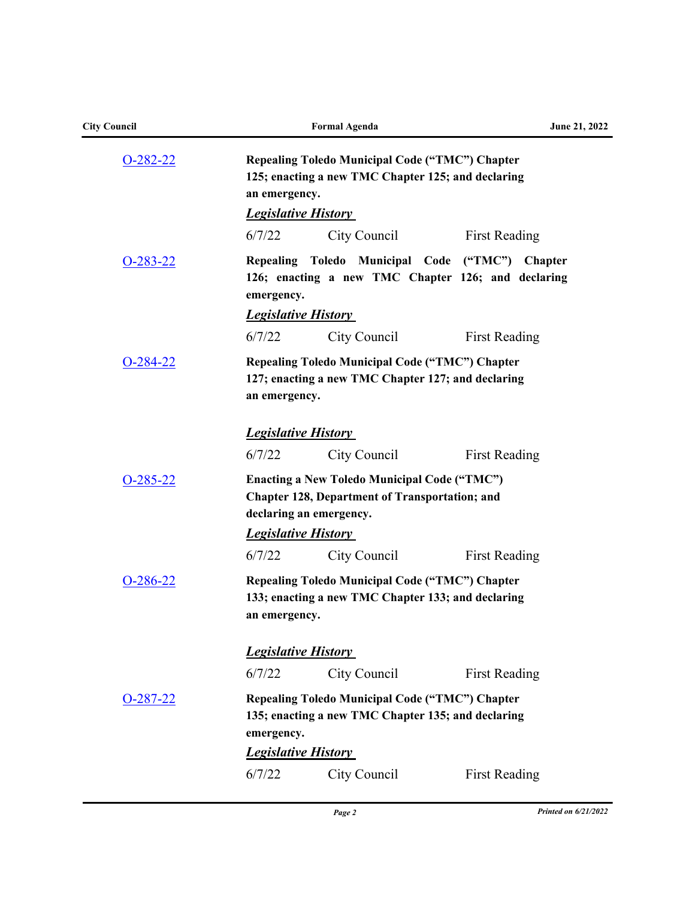| <b>City Council</b> |                                                                                                                                         | <b>Formal Agenda</b>                                                                                         | June 21, 2022                                                        |  |
|---------------------|-----------------------------------------------------------------------------------------------------------------------------------------|--------------------------------------------------------------------------------------------------------------|----------------------------------------------------------------------|--|
| $O-282-22$          | an emergency.<br><b>Legislative History</b>                                                                                             | <b>Repealing Toledo Municipal Code ("TMC") Chapter</b><br>125; enacting a new TMC Chapter 125; and declaring |                                                                      |  |
|                     | 6/7/22                                                                                                                                  | City Council                                                                                                 | <b>First Reading</b>                                                 |  |
| $O-283-22$          | emergency.                                                                                                                              | Repealing Toledo Municipal Code ("TMC")                                                                      | <b>Chapter</b><br>126; enacting a new TMC Chapter 126; and declaring |  |
|                     | <b>Legislative History</b>                                                                                                              |                                                                                                              |                                                                      |  |
|                     | 6/7/22                                                                                                                                  | City Council                                                                                                 | <b>First Reading</b>                                                 |  |
| $O-284-22$          | <b>Repealing Toledo Municipal Code ("TMC") Chapter</b><br>127; enacting a new TMC Chapter 127; and declaring<br>an emergency.           |                                                                                                              |                                                                      |  |
|                     | <b>Legislative History</b>                                                                                                              |                                                                                                              |                                                                      |  |
|                     | 6/7/22                                                                                                                                  | City Council                                                                                                 | <b>First Reading</b>                                                 |  |
| $O-285-22$          | <b>Enacting a New Toledo Municipal Code ("TMC")</b><br><b>Chapter 128, Department of Transportation; and</b><br>declaring an emergency. |                                                                                                              |                                                                      |  |
|                     | <b>Legislative History</b>                                                                                                              |                                                                                                              |                                                                      |  |
|                     | 6/7/22                                                                                                                                  | City Council                                                                                                 | <b>First Reading</b>                                                 |  |
| $O-286-22$          | an emergency.                                                                                                                           | Repealing Toledo Municipal Code ("TMC") Chapter<br>133; enacting a new TMC Chapter 133; and declaring        |                                                                      |  |
|                     | <b>Legislative History</b>                                                                                                              |                                                                                                              |                                                                      |  |
|                     | 6/7/22                                                                                                                                  | City Council                                                                                                 | <b>First Reading</b>                                                 |  |
| $O-287-22$          | emergency.<br><b>Legislative History</b>                                                                                                | Repealing Toledo Municipal Code ("TMC") Chapter<br>135; enacting a new TMC Chapter 135; and declaring        |                                                                      |  |
|                     | 6/7/22                                                                                                                                  | City Council                                                                                                 | <b>First Reading</b>                                                 |  |
|                     |                                                                                                                                         |                                                                                                              |                                                                      |  |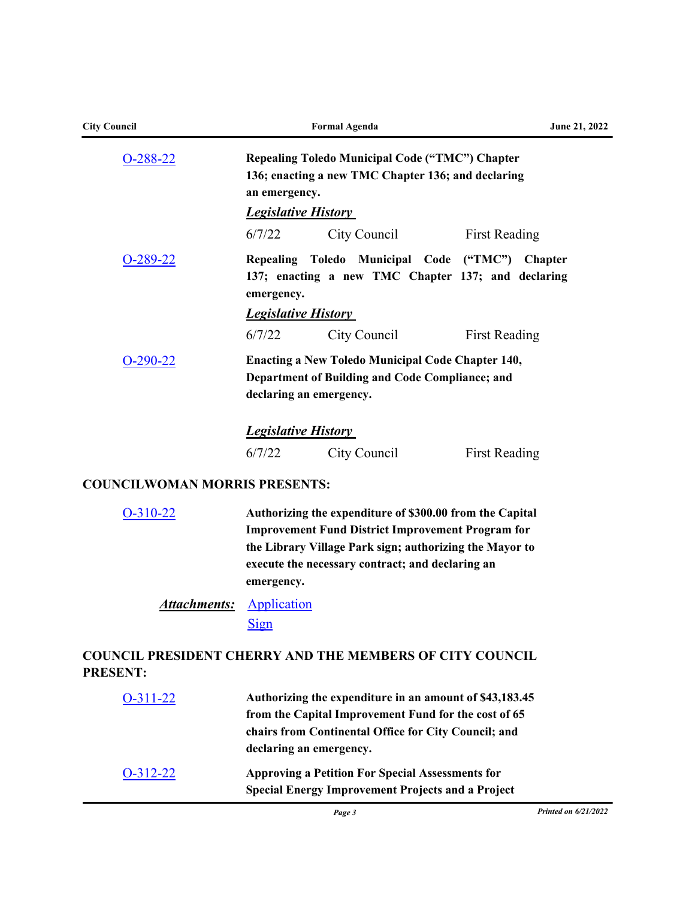| <b>City Council</b>                  | <b>Formal Agenda</b>                                                                                                                                                                                                                              |  |  |  |
|--------------------------------------|---------------------------------------------------------------------------------------------------------------------------------------------------------------------------------------------------------------------------------------------------|--|--|--|
| $O-288-22$                           | Repealing Toledo Municipal Code ("TMC") Chapter<br>136; enacting a new TMC Chapter 136; and declaring<br>an emergency.<br><b>Legislative History</b>                                                                                              |  |  |  |
|                                      | 6/7/22<br>City Council<br><b>First Reading</b>                                                                                                                                                                                                    |  |  |  |
| $O-289-22$                           | Repealing Toledo Municipal Code<br>("TMC") Chapter<br>137; enacting a new TMC Chapter 137; and declaring<br>emergency.                                                                                                                            |  |  |  |
|                                      | <b>Legislative History</b>                                                                                                                                                                                                                        |  |  |  |
|                                      | 6/7/22<br>City Council<br><b>First Reading</b>                                                                                                                                                                                                    |  |  |  |
| $O-290-22$                           | <b>Enacting a New Toledo Municipal Code Chapter 140,</b><br>Department of Building and Code Compliance; and<br>declaring an emergency.                                                                                                            |  |  |  |
|                                      | <b>Legislative History</b>                                                                                                                                                                                                                        |  |  |  |
|                                      | 6/7/22<br>City Council<br><b>First Reading</b>                                                                                                                                                                                                    |  |  |  |
| <b>COUNCILWOMAN MORRIS PRESENTS:</b> |                                                                                                                                                                                                                                                   |  |  |  |
| $O-310-22$                           | Authorizing the expenditure of \$300.00 from the Capital<br><b>Improvement Fund District Improvement Program for</b><br>the Library Village Park sign; authorizing the Mayor to<br>execute the necessary contract; and declaring an<br>emergency. |  |  |  |
| <u>Attachments:</u>                  | Application<br><b>Sign</b>                                                                                                                                                                                                                        |  |  |  |
| <b>PRESENT:</b>                      | <b>COUNCIL PRESIDENT CHERRY AND THE MEMBERS OF CITY COUNCIL</b>                                                                                                                                                                                   |  |  |  |
| $O-311-22$                           | Authorizing the expenditure in an amount of \$43,183.45<br>from the Capital Improvement Fund for the cost of 65                                                                                                                                   |  |  |  |
|                                      | chairs from Continental Office for City Council; and                                                                                                                                                                                              |  |  |  |

| $O-312-22$ | <b>Approving a Petition For Special Assessments for</b>  |
|------------|----------------------------------------------------------|
|            | <b>Special Energy Improvement Projects and a Project</b> |

**declaring an emergency.**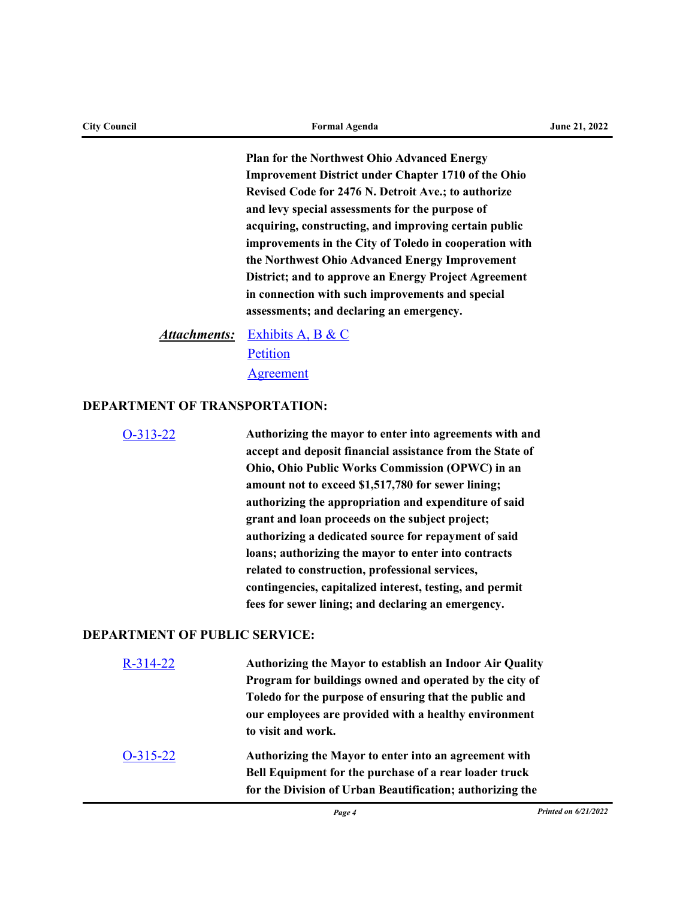**Plan for the Northwest Ohio Advanced Energy Improvement District under Chapter 1710 of the Ohio Revised Code for 2476 N. Detroit Ave.; to authorize and levy special assessments for the purpose of acquiring, constructing, and improving certain public improvements in the City of Toledo in cooperation with the Northwest Ohio Advanced Energy Improvement District; and to approve an Energy Project Agreement in connection with such improvements and special assessments; and declaring an emergency.**

[Exhibits A, B & C](http://toledo.legistar.com/gateway.aspx?M=F&ID=7b3c93ad-cf7b-4d72-92e5-fce191cba118.docx) *Attachments:* [Petition](http://toledo.legistar.com/gateway.aspx?M=F&ID=abfd0fbf-8b42-4e2b-8d85-bf7ca14565c1.pdf) **[Agreement](http://toledo.legistar.com/gateway.aspx?M=F&ID=71289d92-7837-455b-8daa-4e06747e07ec.pdf)** 

### **DEPARTMENT OF TRANSPORTATION:**

[O-313-22](http://toledo.legistar.com/gateway.aspx?m=l&id=/matter.aspx?key=37894) **Authorizing the mayor to enter into agreements with and accept and deposit financial assistance from the State of Ohio, Ohio Public Works Commission (OPWC) in an amount not to exceed \$1,517,780 for sewer lining; authorizing the appropriation and expenditure of said grant and loan proceeds on the subject project; authorizing a dedicated source for repayment of said loans; authorizing the mayor to enter into contracts related to construction, professional services, contingencies, capitalized interest, testing, and permit fees for sewer lining; and declaring an emergency.** 

#### **DEPARTMENT OF PUBLIC SERVICE:**

| $R - 314 - 22$ | Authorizing the Mayor to establish an Indoor Air Quality  |
|----------------|-----------------------------------------------------------|
|                | Program for buildings owned and operated by the city of   |
|                | Toledo for the purpose of ensuring that the public and    |
|                | our employees are provided with a healthy environment     |
|                | to visit and work.                                        |
| $O-315-22$     | Authorizing the Mayor to enter into an agreement with     |
|                | Bell Equipment for the purchase of a rear loader truck    |
|                | for the Division of Urban Beautification; authorizing the |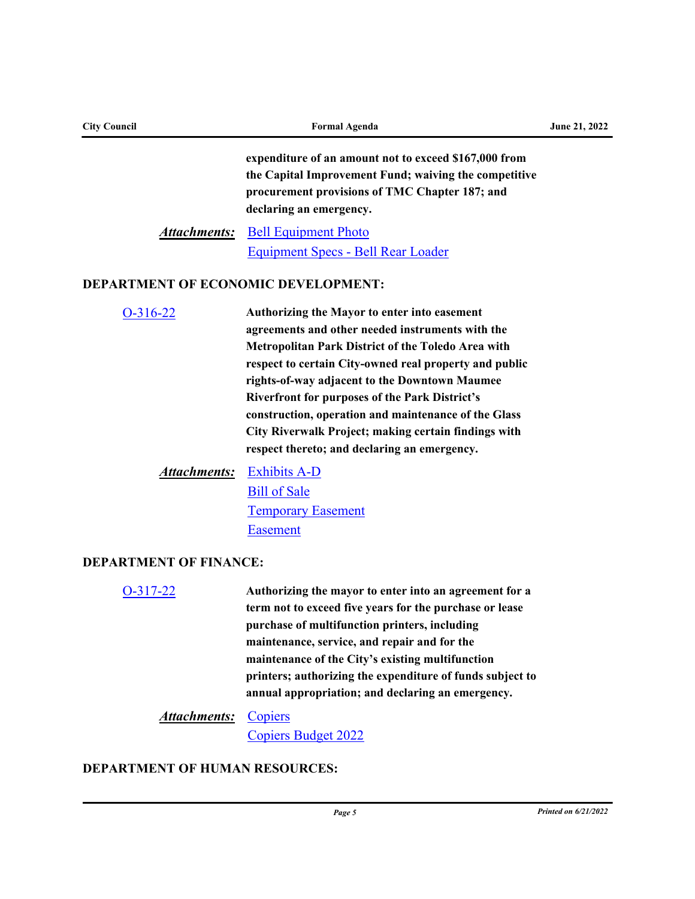| <b>City Council</b>                        | June 21, 2022                                                                                                                                                                                                                                                                                                                                                                                                                                                                              |  |  |
|--------------------------------------------|--------------------------------------------------------------------------------------------------------------------------------------------------------------------------------------------------------------------------------------------------------------------------------------------------------------------------------------------------------------------------------------------------------------------------------------------------------------------------------------------|--|--|
| <b>Attachments:</b>                        | expenditure of an amount not to exceed \$167,000 from<br>the Capital Improvement Fund; waiving the competitive<br>procurement provisions of TMC Chapter 187; and<br>declaring an emergency.<br><b>Bell Equipment Photo</b><br><b>Equipment Specs - Bell Rear Loader</b>                                                                                                                                                                                                                    |  |  |
| <b>DEPARTMENT OF ECONOMIC DEVELOPMENT:</b> |                                                                                                                                                                                                                                                                                                                                                                                                                                                                                            |  |  |
| $O-316-22$                                 | Authorizing the Mayor to enter into easement<br>agreements and other needed instruments with the<br>Metropolitan Park District of the Toledo Area with<br>respect to certain City-owned real property and public<br>rights-of-way adjacent to the Downtown Maumee<br><b>Riverfront for purposes of the Park District's</b><br>construction, operation and maintenance of the Glass<br>City Riverwalk Project; making certain findings with<br>respect thereto; and declaring an emergency. |  |  |
| <b>Attachments:</b>                        | <b>Exhibits A-D</b><br><b>Bill of Sale</b><br><b>Temporary Easement</b><br><b>Easement</b>                                                                                                                                                                                                                                                                                                                                                                                                 |  |  |
| <b>DEPARTMENT OF FINANCE:</b>              |                                                                                                                                                                                                                                                                                                                                                                                                                                                                                            |  |  |
| $O-317-22$                                 | Authorizing the mayor to enter into an agreement for a<br>term not to exceed five years for the purchase or lease<br>purchase of multifunction printers, including<br>maintenance, service, and repair and for the<br>maintenance of the City's existing multifunction<br>printers; authorizing the expenditure of funds subject to<br>annual appropriation; and declaring an emergency.                                                                                                   |  |  |
| <b>Attachments:</b>                        | Copiers<br><b>Copiers Budget 2022</b>                                                                                                                                                                                                                                                                                                                                                                                                                                                      |  |  |

# **DEPARTMENT OF HUMAN RESOURCES:**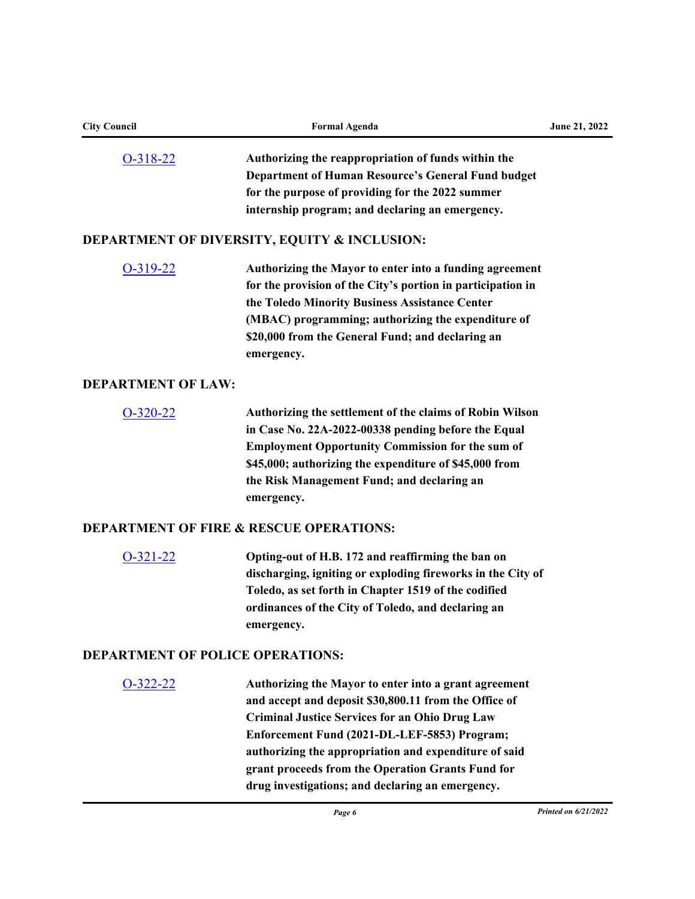| <b>City Council</b>                     | <b>Formal Agenda</b>                                        | June 21, 2022        |  |
|-----------------------------------------|-------------------------------------------------------------|----------------------|--|
| $O-318-22$                              | Authorizing the reappropriation of funds within the         |                      |  |
|                                         | <b>Department of Human Resource's General Fund budget</b>   |                      |  |
|                                         | for the purpose of providing for the 2022 summer            |                      |  |
|                                         | internship program; and declaring an emergency.             |                      |  |
|                                         | <b>DEPARTMENT OF DIVERSITY, EQUITY &amp; INCLUSION:</b>     |                      |  |
| $O-319-22$                              | Authorizing the Mayor to enter into a funding agreement     |                      |  |
|                                         | for the provision of the City's portion in participation in |                      |  |
|                                         | the Toledo Minority Business Assistance Center              |                      |  |
|                                         | (MBAC) programming; authorizing the expenditure of          |                      |  |
|                                         | \$20,000 from the General Fund; and declaring an            |                      |  |
|                                         | emergency.                                                  |                      |  |
| <b>DEPARTMENT OF LAW:</b>               |                                                             |                      |  |
| $O-320-22$                              | Authorizing the settlement of the claims of Robin Wilson    |                      |  |
|                                         | in Case No. 22A-2022-00338 pending before the Equal         |                      |  |
|                                         | <b>Employment Opportunity Commission for the sum of</b>     |                      |  |
|                                         | \$45,000; authorizing the expenditure of \$45,000 from      |                      |  |
|                                         | the Risk Management Fund; and declaring an                  |                      |  |
|                                         | emergency.                                                  |                      |  |
|                                         | <b>DEPARTMENT OF FIRE &amp; RESCUE OPERATIONS:</b>          |                      |  |
| $O-321-22$                              | Opting-out of H.B. 172 and reaffirming the ban on           |                      |  |
|                                         | discharging, igniting or exploding fireworks in the City of |                      |  |
|                                         | Toledo, as set forth in Chapter 1519 of the codified        |                      |  |
|                                         | ordinances of the City of Toledo, and declaring an          |                      |  |
|                                         | emergency.                                                  |                      |  |
| <b>DEPARTMENT OF POLICE OPERATIONS:</b> |                                                             |                      |  |
| $O-322-22$                              | Authorizing the Mayor to enter into a grant agreement       |                      |  |
|                                         | and accept and deposit \$30,800.11 from the Office of       |                      |  |
|                                         | <b>Criminal Justice Services for an Ohio Drug Law</b>       |                      |  |
|                                         | Enforcement Fund (2021-DL-LEF-5853) Program;                |                      |  |
|                                         | authorizing the appropriation and expenditure of said       |                      |  |
|                                         | grant proceeds from the Operation Grants Fund for           |                      |  |
|                                         | drug investigations; and declaring an emergency.            |                      |  |
|                                         | Page 6                                                      | Printed on 6/21/2022 |  |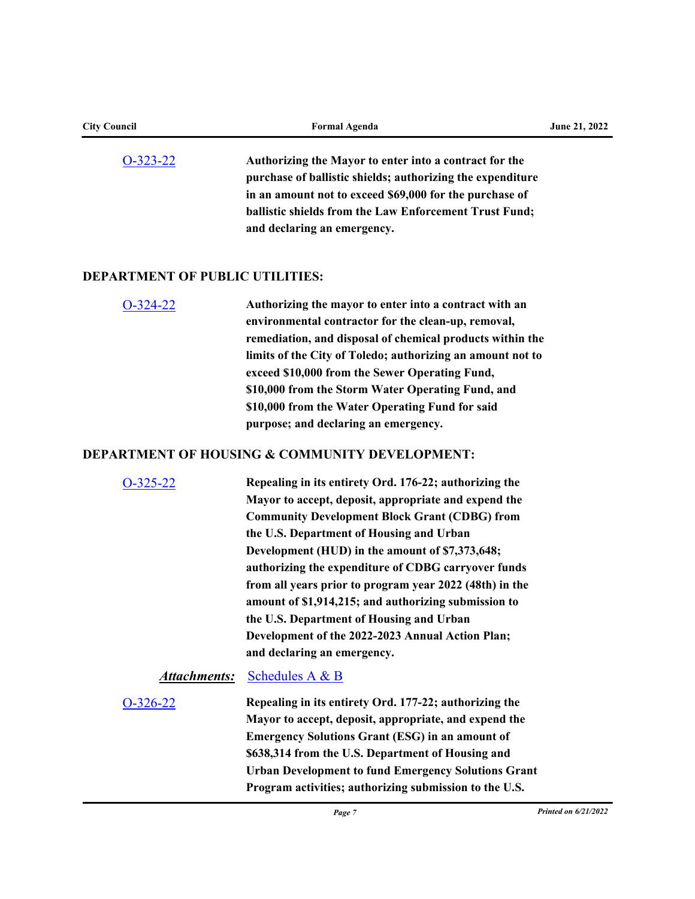| <b>City Council</b>                    | <b>Formal Agenda</b>                                                                                                                                                                                                                                                                                                                                                                                                                                                                                                                                                           | June 21, 2022        |
|----------------------------------------|--------------------------------------------------------------------------------------------------------------------------------------------------------------------------------------------------------------------------------------------------------------------------------------------------------------------------------------------------------------------------------------------------------------------------------------------------------------------------------------------------------------------------------------------------------------------------------|----------------------|
| $O-323-22$                             | Authorizing the Mayor to enter into a contract for the<br>purchase of ballistic shields; authorizing the expenditure<br>in an amount not to exceed \$69,000 for the purchase of<br>ballistic shields from the Law Enforcement Trust Fund;<br>and declaring an emergency.                                                                                                                                                                                                                                                                                                       |                      |
| <b>DEPARTMENT OF PUBLIC UTILITIES:</b> |                                                                                                                                                                                                                                                                                                                                                                                                                                                                                                                                                                                |                      |
| $O-324-22$                             | Authorizing the mayor to enter into a contract with an<br>environmental contractor for the clean-up, removal,<br>remediation, and disposal of chemical products within the<br>limits of the City of Toledo; authorizing an amount not to<br>exceed \$10,000 from the Sewer Operating Fund,<br>\$10,000 from the Storm Water Operating Fund, and<br>\$10,000 from the Water Operating Fund for said<br>purpose; and declaring an emergency.                                                                                                                                     |                      |
|                                        | <b>DEPARTMENT OF HOUSING &amp; COMMUNITY DEVELOPMENT:</b>                                                                                                                                                                                                                                                                                                                                                                                                                                                                                                                      |                      |
| $O-325-22$                             | Repealing in its entirety Ord. 176-22; authorizing the<br>Mayor to accept, deposit, appropriate and expend the<br><b>Community Development Block Grant (CDBG) from</b><br>the U.S. Department of Housing and Urban<br>Development (HUD) in the amount of \$7,373,648;<br>authorizing the expenditure of CDBG carryover funds<br>from all years prior to program year 2022 (48th) in the<br>amount of \$1,914,215; and authorizing submission to<br>the U.S. Department of Housing and Urban<br>Development of the 2022-2023 Annual Action Plan;<br>and declaring an emergency. |                      |
| <u>Attachments:</u>                    | <b>Schedules A &amp; B</b>                                                                                                                                                                                                                                                                                                                                                                                                                                                                                                                                                     |                      |
| $O-326-22$                             | Repealing in its entirety Ord. 177-22; authorizing the<br>Mayor to accept, deposit, appropriate, and expend the<br><b>Emergency Solutions Grant (ESG) in an amount of</b><br>\$638,314 from the U.S. Department of Housing and<br><b>Urban Development to fund Emergency Solutions Grant</b><br>Program activities; authorizing submission to the U.S.                                                                                                                                                                                                                         |                      |
|                                        | Page 7                                                                                                                                                                                                                                                                                                                                                                                                                                                                                                                                                                         | Printed on 6/21/2022 |
|                                        |                                                                                                                                                                                                                                                                                                                                                                                                                                                                                                                                                                                |                      |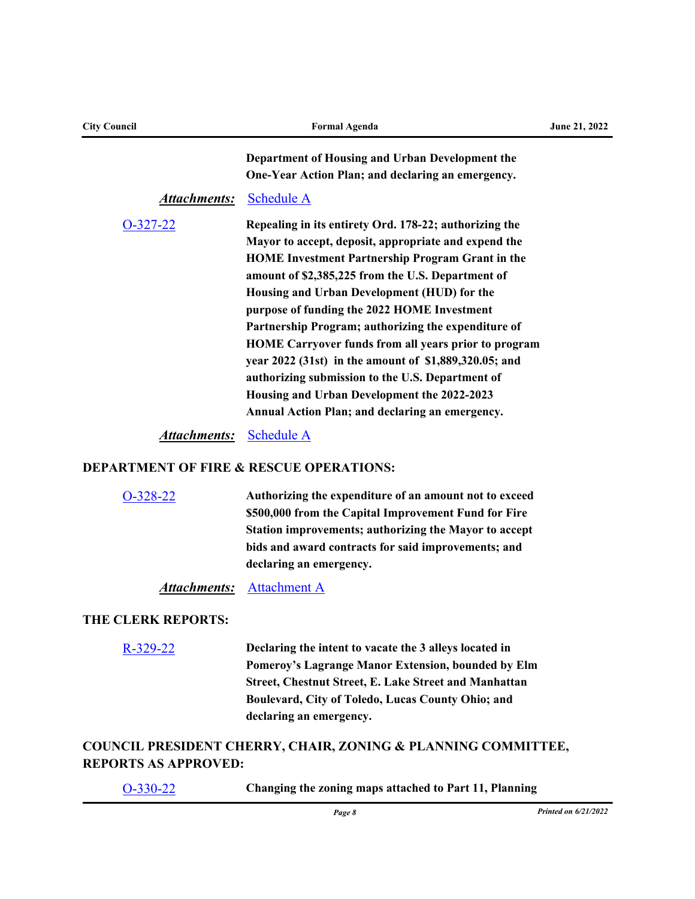| <b>City Council</b>                                | <b>Formal Agenda</b>                                                                                                                                                                                                                                                                                                                                                                                                                                                                                                                                                                                           | June 21, 2022 |  |
|----------------------------------------------------|----------------------------------------------------------------------------------------------------------------------------------------------------------------------------------------------------------------------------------------------------------------------------------------------------------------------------------------------------------------------------------------------------------------------------------------------------------------------------------------------------------------------------------------------------------------------------------------------------------------|---------------|--|
|                                                    | Department of Housing and Urban Development the<br>One-Year Action Plan; and declaring an emergency.                                                                                                                                                                                                                                                                                                                                                                                                                                                                                                           |               |  |
| <b>Attachments:</b>                                | <b>Schedule A</b>                                                                                                                                                                                                                                                                                                                                                                                                                                                                                                                                                                                              |               |  |
| $O-327-22$                                         | Repealing in its entirety Ord. 178-22; authorizing the<br>Mayor to accept, deposit, appropriate and expend the<br><b>HOME Investment Partnership Program Grant in the</b><br>amount of \$2,385,225 from the U.S. Department of<br>Housing and Urban Development (HUD) for the<br>purpose of funding the 2022 HOME Investment<br>Partnership Program; authorizing the expenditure of<br><b>HOME Carryover funds from all years prior to program</b><br>year 2022 (31st) in the amount of \$1,889,320.05; and<br>authorizing submission to the U.S. Department of<br>Housing and Urban Development the 2022-2023 |               |  |
|                                                    | Annual Action Plan; and declaring an emergency.                                                                                                                                                                                                                                                                                                                                                                                                                                                                                                                                                                |               |  |
| <u>Attachments:</u>                                | <b>Schedule A</b>                                                                                                                                                                                                                                                                                                                                                                                                                                                                                                                                                                                              |               |  |
| <b>DEPARTMENT OF FIRE &amp; RESCUE OPERATIONS:</b> |                                                                                                                                                                                                                                                                                                                                                                                                                                                                                                                                                                                                                |               |  |
| O-328-22                                           | Authorizing the expenditure of an amount not to exceed<br>\$500,000 from the Capital Improvement Fund for Fire<br>Station improvements; authorizing the Mayor to accept<br>bids and award contracts for said improvements; and<br>declaring an emergency.                                                                                                                                                                                                                                                                                                                                                      |               |  |
| <b>Attachments:</b>                                | <b>Attachment A</b>                                                                                                                                                                                                                                                                                                                                                                                                                                                                                                                                                                                            |               |  |
| <b>THE CLERK REPORTS:</b>                          |                                                                                                                                                                                                                                                                                                                                                                                                                                                                                                                                                                                                                |               |  |
| $R-329-22$                                         | Declaring the intent to vacate the 3 alleys located in<br>Pomeroy's Lagrange Manor Extension, bounded by Elm<br><b>Street, Chestnut Street, E. Lake Street and Manhattan</b><br>Boulevard, City of Toledo, Lucas County Ohio; and<br>declaring an emergency.                                                                                                                                                                                                                                                                                                                                                   |               |  |

## **COUNCIL PRESIDENT CHERRY, CHAIR, ZONING & PLANNING COMMITTEE, REPORTS AS APPROVED:**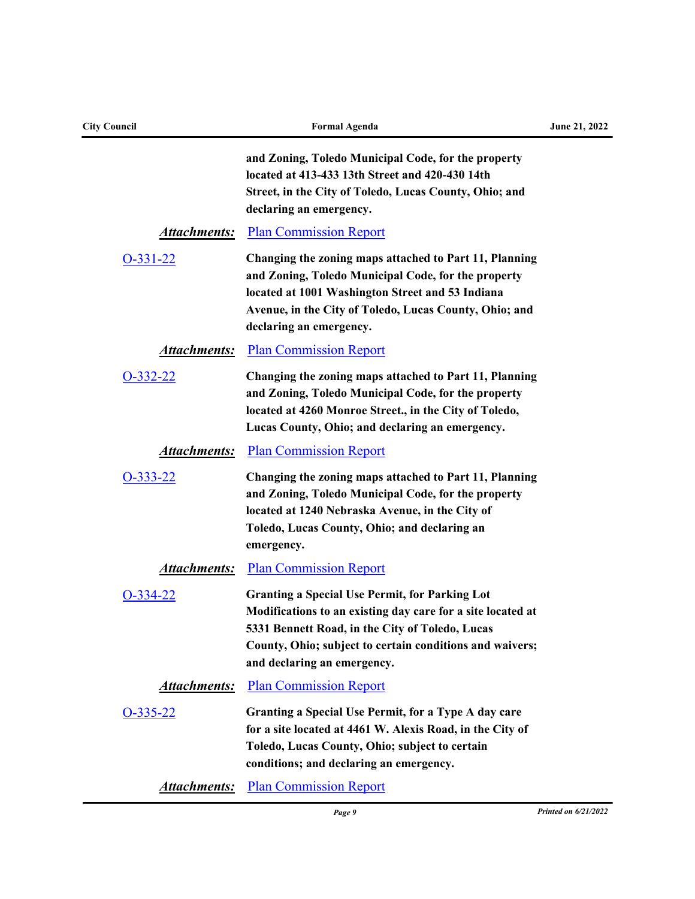| <b>City Council</b> | <b>Formal Agenda</b>                                                                                                                                                                                                                                               | June 21, 2022 |  |
|---------------------|--------------------------------------------------------------------------------------------------------------------------------------------------------------------------------------------------------------------------------------------------------------------|---------------|--|
|                     | and Zoning, Toledo Municipal Code, for the property<br>located at 413-433 13th Street and 420-430 14th<br>Street, in the City of Toledo, Lucas County, Ohio; and<br>declaring an emergency.                                                                        |               |  |
| <b>Attachments:</b> | <b>Plan Commission Report</b>                                                                                                                                                                                                                                      |               |  |
| $O-331-22$          | Changing the zoning maps attached to Part 11, Planning<br>and Zoning, Toledo Municipal Code, for the property<br>located at 1001 Washington Street and 53 Indiana<br>Avenue, in the City of Toledo, Lucas County, Ohio; and<br>declaring an emergency.             |               |  |
| <u>Attachments:</u> | <b>Plan Commission Report</b>                                                                                                                                                                                                                                      |               |  |
| $O-332-22$          | Changing the zoning maps attached to Part 11, Planning<br>and Zoning, Toledo Municipal Code, for the property<br>located at 4260 Monroe Street., in the City of Toledo,<br>Lucas County, Ohio; and declaring an emergency.                                         |               |  |
| <b>Attachments:</b> | <b>Plan Commission Report</b>                                                                                                                                                                                                                                      |               |  |
| $O-333-22$          | Changing the zoning maps attached to Part 11, Planning<br>and Zoning, Toledo Municipal Code, for the property<br>located at 1240 Nebraska Avenue, in the City of<br>Toledo, Lucas County, Ohio; and declaring an<br>emergency.                                     |               |  |
| <u>Attachments:</u> | <b>Plan Commission Report</b>                                                                                                                                                                                                                                      |               |  |
| $O-334-22$          | <b>Granting a Special Use Permit, for Parking Lot</b><br>Modifications to an existing day care for a site located at<br>5331 Bennett Road, in the City of Toledo, Lucas<br>County, Ohio; subject to certain conditions and waivers;<br>and declaring an emergency. |               |  |
| <b>Attachments:</b> | <b>Plan Commission Report</b>                                                                                                                                                                                                                                      |               |  |
| $O-335-22$          | Granting a Special Use Permit, for a Type A day care<br>for a site located at 4461 W. Alexis Road, in the City of<br>Toledo, Lucas County, Ohio; subject to certain<br>conditions; and declaring an emergency.                                                     |               |  |
| Attachments:        | <b>Plan Commission Report</b>                                                                                                                                                                                                                                      |               |  |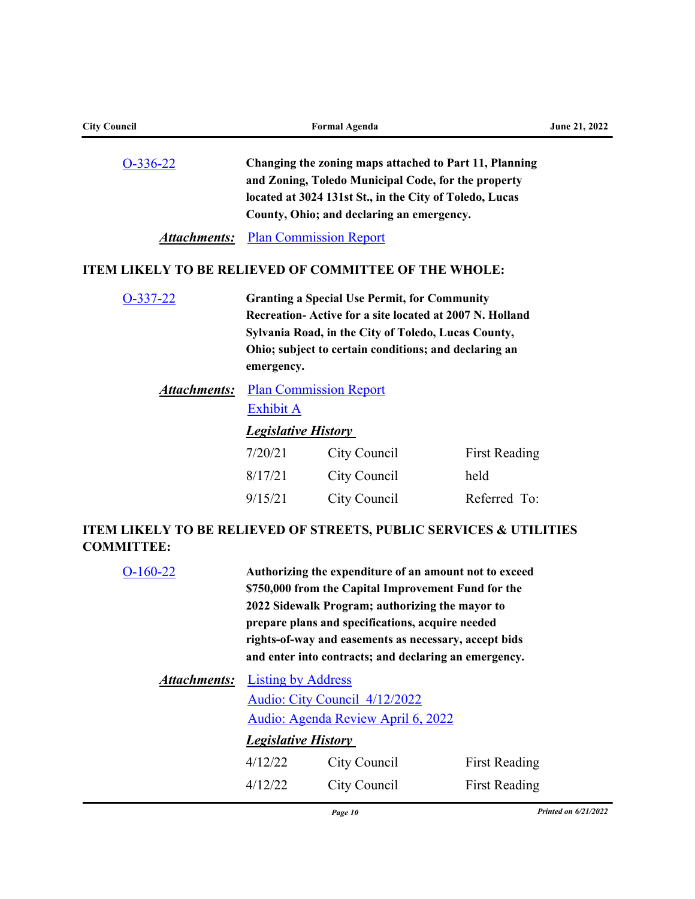| <b>City Council</b>                                                       | <b>Formal Agenda</b>                                                                                                                                                                                                                         |              |                      | June 21, 2022 |
|---------------------------------------------------------------------------|----------------------------------------------------------------------------------------------------------------------------------------------------------------------------------------------------------------------------------------------|--------------|----------------------|---------------|
| $O-336-22$                                                                | Changing the zoning maps attached to Part 11, Planning<br>and Zoning, Toledo Municipal Code, for the property<br>located at 3024 131st St., in the City of Toledo, Lucas<br>County, Ohio; and declaring an emergency.                        |              |                      |               |
| <b>Attachments:</b>                                                       | <b>Plan Commission Report</b>                                                                                                                                                                                                                |              |                      |               |
| <b>ITEM LIKELY TO BE RELIEVED OF COMMITTEE OF THE WHOLE:</b>              |                                                                                                                                                                                                                                              |              |                      |               |
| $O-337-22$                                                                | <b>Granting a Special Use Permit, for Community</b><br>Recreation-Active for a site located at 2007 N. Holland<br>Sylvania Road, in the City of Toledo, Lucas County,<br>Ohio; subject to certain conditions; and declaring an<br>emergency. |              |                      |               |
| <u>Attachments:</u>                                                       | <b>Plan Commission Report</b><br><b>Exhibit A</b>                                                                                                                                                                                            |              |                      |               |
|                                                                           | <b>Legislative History</b>                                                                                                                                                                                                                   |              |                      |               |
|                                                                           | 7/20/21                                                                                                                                                                                                                                      | City Council | <b>First Reading</b> |               |
|                                                                           | 8/17/21                                                                                                                                                                                                                                      | City Council | held                 |               |
|                                                                           | 9/15/21                                                                                                                                                                                                                                      | City Council | Referred To:         |               |
| IADNI I IIZDI V AO DO DRI IRVAD OR AADRRAA DIIDI IO ARDVIORA A HAII IAIRA |                                                                                                                                                                                                                                              |              |                      |               |

## **ITEM LIKELY TO BE RELIEVED OF STREETS, PUBLIC SERVICES & UTILITIES COMMITTEE:**

| $O-160-22$          | Authorizing the expenditure of an amount not to exceed<br>\$750,000 from the Capital Improvement Fund for the<br>2022 Sidewalk Program; authorizing the mayor to<br>prepare plans and specifications, acquire needed<br>rights-of-way and easements as necessary, accept bids<br>and enter into contracts; and declaring an emergency. |              |                      |  |
|---------------------|----------------------------------------------------------------------------------------------------------------------------------------------------------------------------------------------------------------------------------------------------------------------------------------------------------------------------------------|--------------|----------------------|--|
| <b>Attachments:</b> | <b>Listing by Address</b>                                                                                                                                                                                                                                                                                                              |              |                      |  |
|                     | Audio: City Council 4/12/2022                                                                                                                                                                                                                                                                                                          |              |                      |  |
|                     | Audio: Agenda Review April 6, 2022                                                                                                                                                                                                                                                                                                     |              |                      |  |
|                     | <b>Legislative History</b>                                                                                                                                                                                                                                                                                                             |              |                      |  |
|                     | 4/12/22                                                                                                                                                                                                                                                                                                                                | City Council | <b>First Reading</b> |  |
|                     | 4/12/22                                                                                                                                                                                                                                                                                                                                | City Council | <b>First Reading</b> |  |